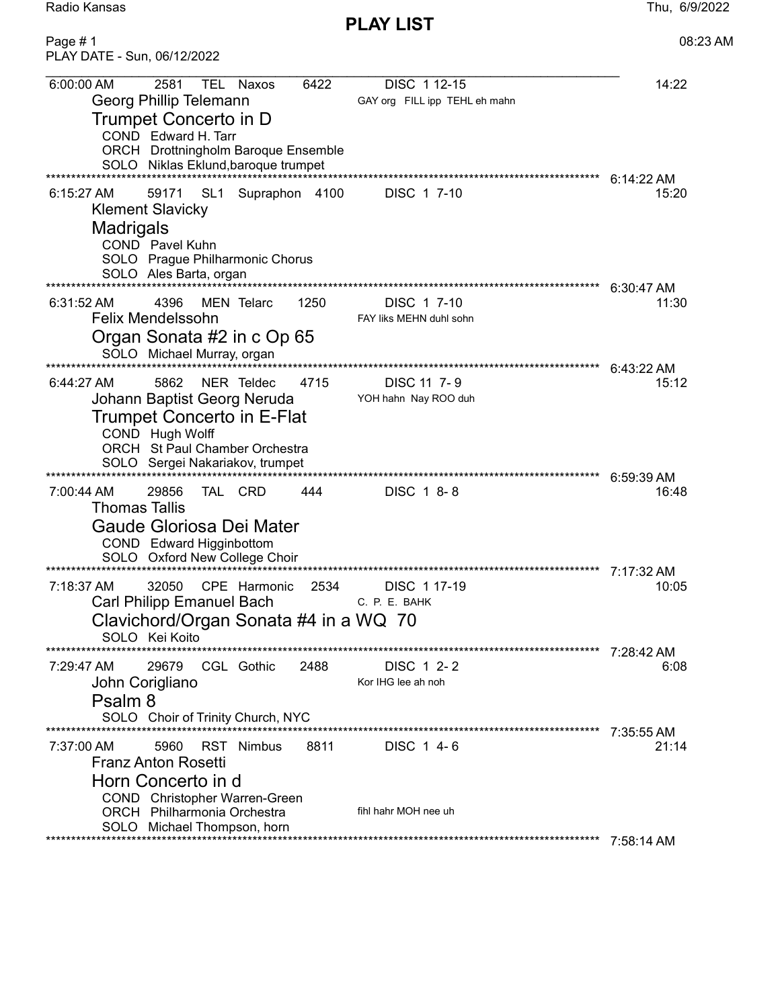Radio Kansas Thu, 6/9/2022

PLAY LIST

| PLAY DATE - Sun, 06/12/2022                                                                                                                                                                                                                             |                       |
|---------------------------------------------------------------------------------------------------------------------------------------------------------------------------------------------------------------------------------------------------------|-----------------------|
| 6:00:00 AM<br>2581<br>6422<br>DISC 1 12-15<br>TEL Naxos<br>Georg Phillip Telemann<br>GAY org FILL ipp TEHL eh mahn<br>Trumpet Concerto in D<br>COND Edward H. Tarr<br><b>ORCH</b> Drottningholm Baroque Ensemble<br>SOLO Niklas Eklund, baroque trumpet | 14:22                 |
| SL <sub>1</sub><br>Supraphon 4100<br>DISC 1 7-10<br>$6:15:27$ AM<br>59171<br><b>Klement Slavicky</b><br><b>Madrigals</b><br>COND Pavel Kuhn<br>SOLO Prague Philharmonic Chorus<br>SOLO Ales Barta, organ                                                | $6:14:22$ AM<br>15:20 |
| ****************************<br>$6:31:52 \text{ AM}$<br>4396<br><b>MEN Telarc</b><br>1250<br>DISC 1 7-10<br><b>Felix Mendelssohn</b><br>FAY liks MEHN duhl sohn<br>Organ Sonata #2 in c Op 65<br>SOLO Michael Murray, organ                             | $6:30:47$ AM<br>11:30 |
| 5862<br>NER Teldec<br>4715<br>DISC 11 7-9<br>6:44:27 AM<br>Johann Baptist Georg Neruda<br>YOH hahn Nay ROO duh<br>Trumpet Concerto in E-Flat<br>COND Hugh Wolff<br>ORCH St Paul Chamber Orchestra<br>SOLO Sergei Nakariakov, trumpet                    | 6:43:22 AM<br>15:12   |
| 29856<br>TAL CRD<br>444<br>DISC 1 8-8<br>7:00:44 AM<br><b>Thomas Tallis</b><br>Gaude Gloriosa Dei Mater<br>COND Edward Higginbottom<br>SOLO Oxford New College Choir                                                                                    | 6:59:39 AM<br>16:48   |
| ******************************<br>2534<br>32050<br>CPE Harmonic<br>DISC 1 17-19<br>7:18:37 AM<br><b>Carl Philipp Emanuel Bach</b><br>C. P. E. BAHK<br>Clavichord/Organ Sonata #4 in a WQ 70<br>SOLO Kei Koito<br>************                           | 7:17:32 AM<br>10:05   |
| CGL Gothic<br>2488<br>DISC 1 2-2<br>7:29:47 AM<br>29679<br>John Corigliano<br>Kor IHG lee ah noh<br>Psalm 8<br>SOLO Choir of Trinity Church, NYC                                                                                                        | 7:28:42 AM<br>6:08    |
| 5960<br>RST Nimbus<br>8811<br>DISC 1 4-6<br>7:37:00 AM<br><b>Franz Anton Rosetti</b><br>Horn Concerto in d<br>COND Christopher Warren-Green<br>fihl hahr MOH nee uh<br>ORCH Philharmonia Orchestra<br>SOLO Michael Thompson, horn                       | 7:35:55 AM<br>21:14   |
|                                                                                                                                                                                                                                                         | 7:58:14 AM            |

Page # 1 08:23 AM